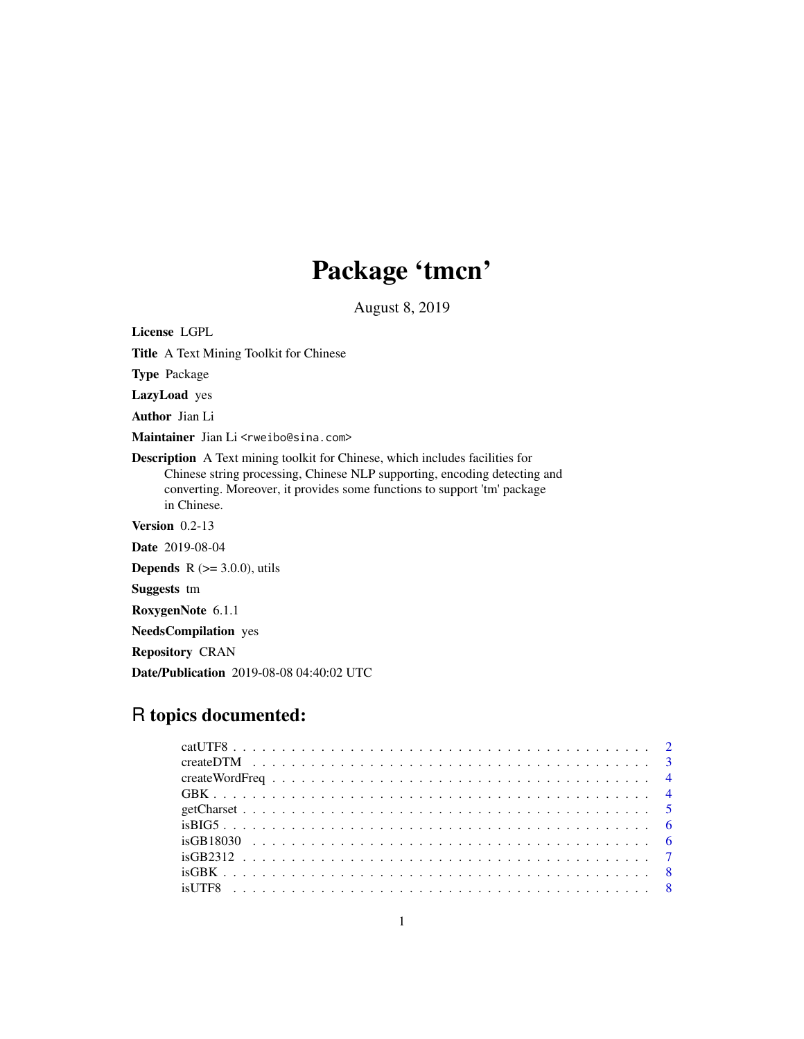# Package 'tmcn'

August 8, 2019

<span id="page-0-0"></span>License LGPL Title A Text Mining Toolkit for Chinese Type Package LazyLoad yes Author Jian Li Maintainer Jian Li<rweibo@sina.com> Description A Text mining toolkit for Chinese, which includes facilities for Chinese string processing, Chinese NLP supporting, encoding detecting and converting. Moreover, it provides some functions to support 'tm' package in Chinese. Version 0.2-13 Date 2019-08-04 **Depends** R  $(>= 3.0.0)$ , utils Suggests tm RoxygenNote 6.1.1 NeedsCompilation yes Repository CRAN Date/Publication 2019-08-08 04:40:02 UTC

# R topics documented: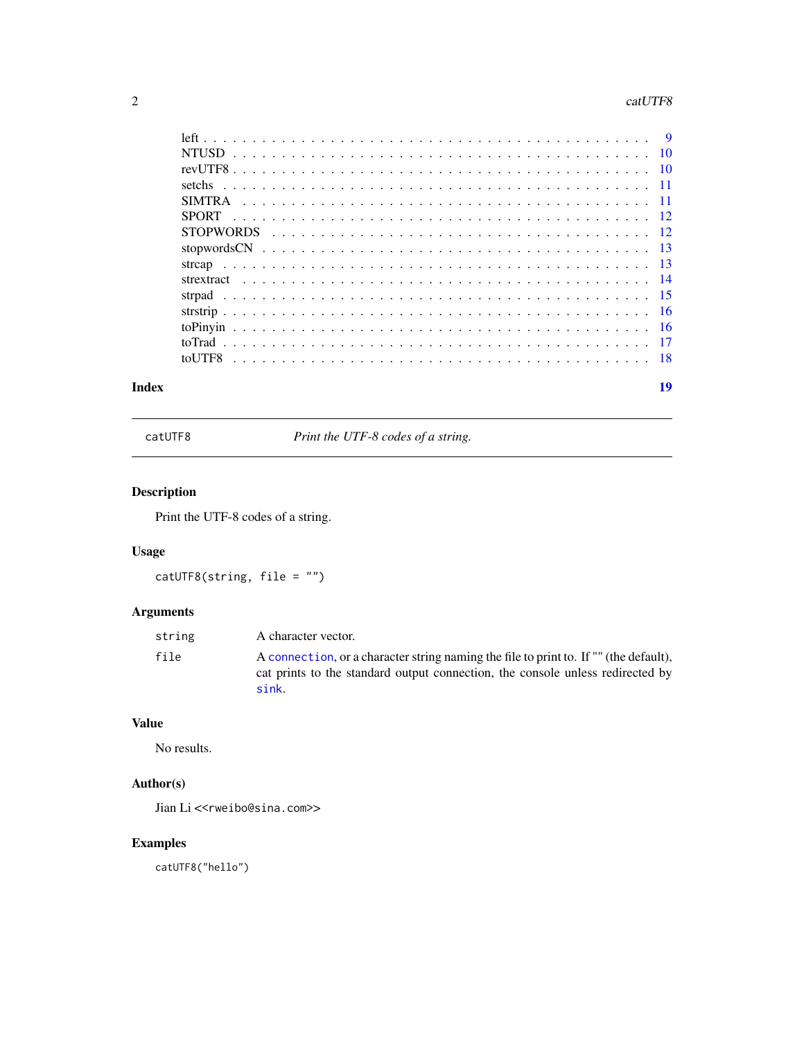#### <span id="page-1-0"></span>2 cat UTF8

| Index | 19 |
|-------|----|

catUTF8 *Print the UTF-8 codes of a string.*

# Description

Print the UTF-8 codes of a string.

# Usage

```
catUTF8(string, file = "")
```
# Arguments

| string | A character vector.                                                                                                                                                              |
|--------|----------------------------------------------------------------------------------------------------------------------------------------------------------------------------------|
| file   | A connection, or a character string naming the file to print to. If "" (the default),<br>cat prints to the standard output connection, the console unless redirected by<br>sink. |

# Value

No results.

# Author(s)

Jian Li<<rweibo@sina.com>>

# Examples

catUTF8("hello")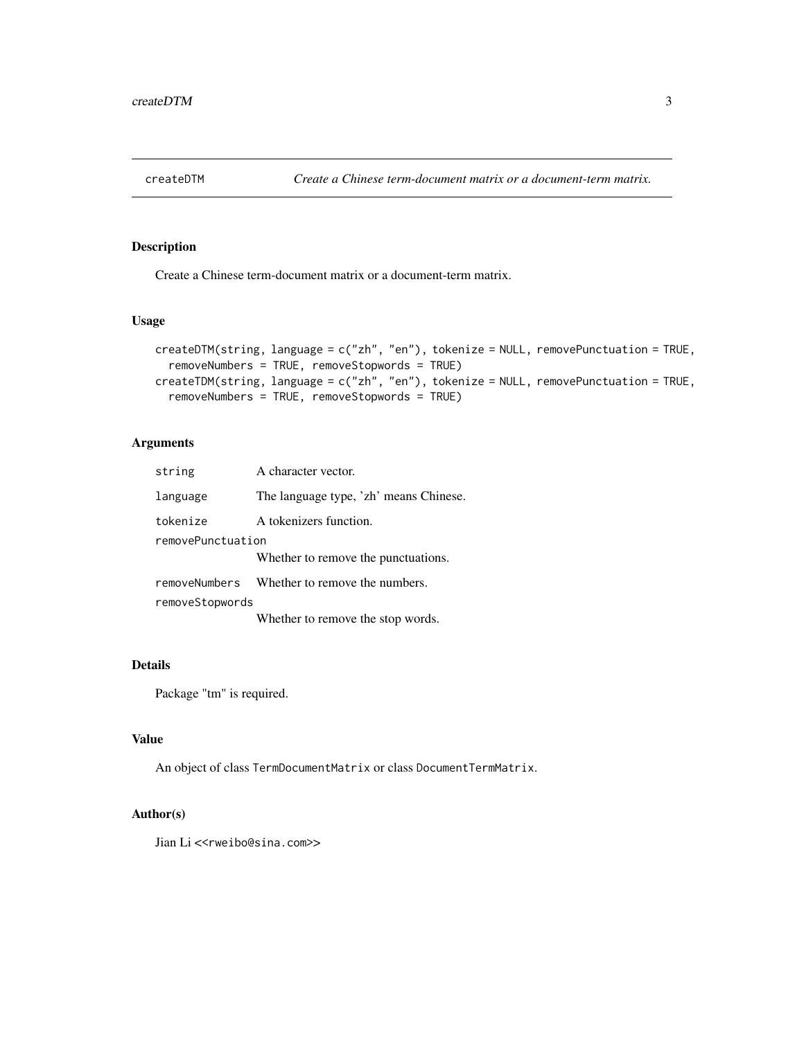<span id="page-2-0"></span>

Create a Chinese term-document matrix or a document-term matrix.

#### Usage

```
createDTM(string, language = c("zh", "en"), tokenize = NULL, removePunctuation = TRUE,
  removeNumbers = TRUE, removeStopwords = TRUE)
createTDM(string, language = c("zh", "en"), tokenize = NULL, removePunctuation = TRUE,
  removeNumbers = TRUE, removeStopwords = TRUE)
```
#### Arguments

| string            | A character vector.                          |  |
|-------------------|----------------------------------------------|--|
| language          | The language type, 'zh' means Chinese.       |  |
| tokenize          | A tokenizers function.                       |  |
| removePunctuation |                                              |  |
|                   | Whether to remove the punctuations.          |  |
|                   | removeNumbers Whether to remove the numbers. |  |
| removeStopwords   |                                              |  |
|                   | Whether to remove the stop words.            |  |

#### Details

Package "tm" is required.

#### Value

An object of class TermDocumentMatrix or class DocumentTermMatrix.

#### Author(s)

Jian Li<<rweibo@sina.com>>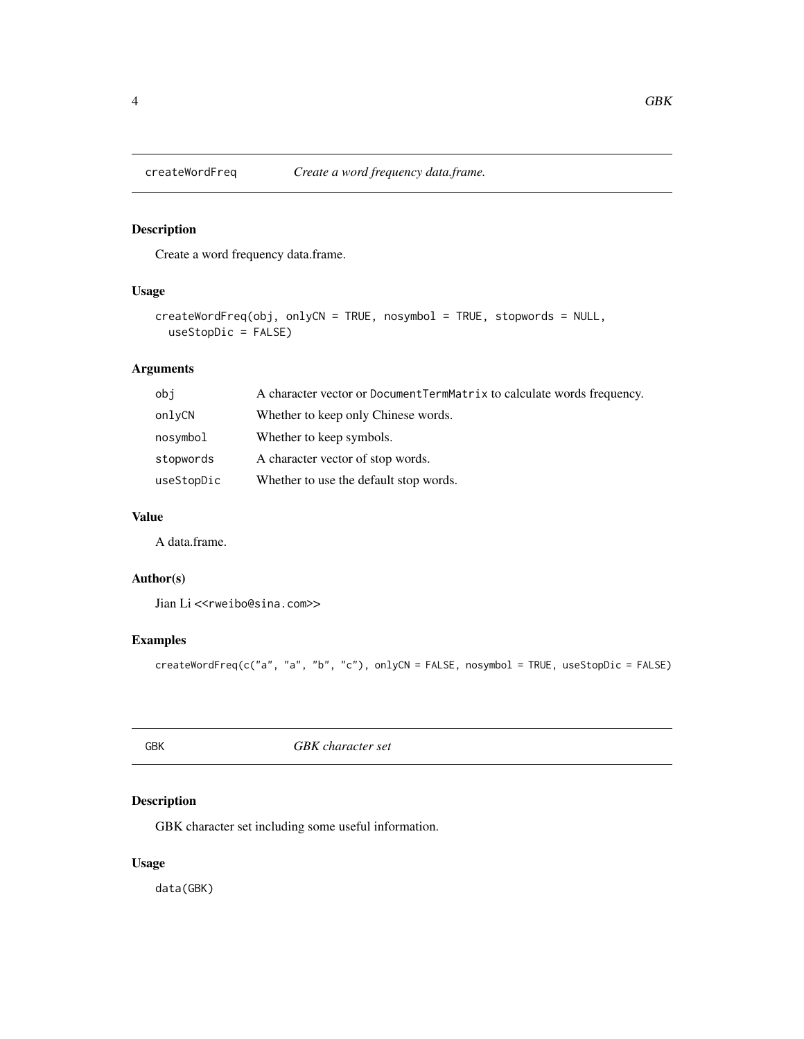<span id="page-3-0"></span>

Create a word frequency data.frame.

### Usage

```
createWordFreq(obj, onlyCN = TRUE, nosymbol = TRUE, stopwords = NULL,
  useStopDic = FALSE)
```
#### Arguments

| obj        | A character vector or DocumentTermMatrix to calculate words frequency. |
|------------|------------------------------------------------------------------------|
| onlyCN     | Whether to keep only Chinese words.                                    |
| nosymbol   | Whether to keep symbols.                                               |
| stopwords  | A character vector of stop words.                                      |
| useStopDic | Whether to use the default stop words.                                 |

#### Value

A data.frame.

### Author(s)

Jian Li<<rweibo@sina.com>>

### Examples

createWordFreq(c("a", "a", "b", "c"), onlyCN = FALSE, nosymbol = TRUE, useStopDic = FALSE)

GBK *GBK character set*

# Description

GBK character set including some useful information.

# Usage

data(GBK)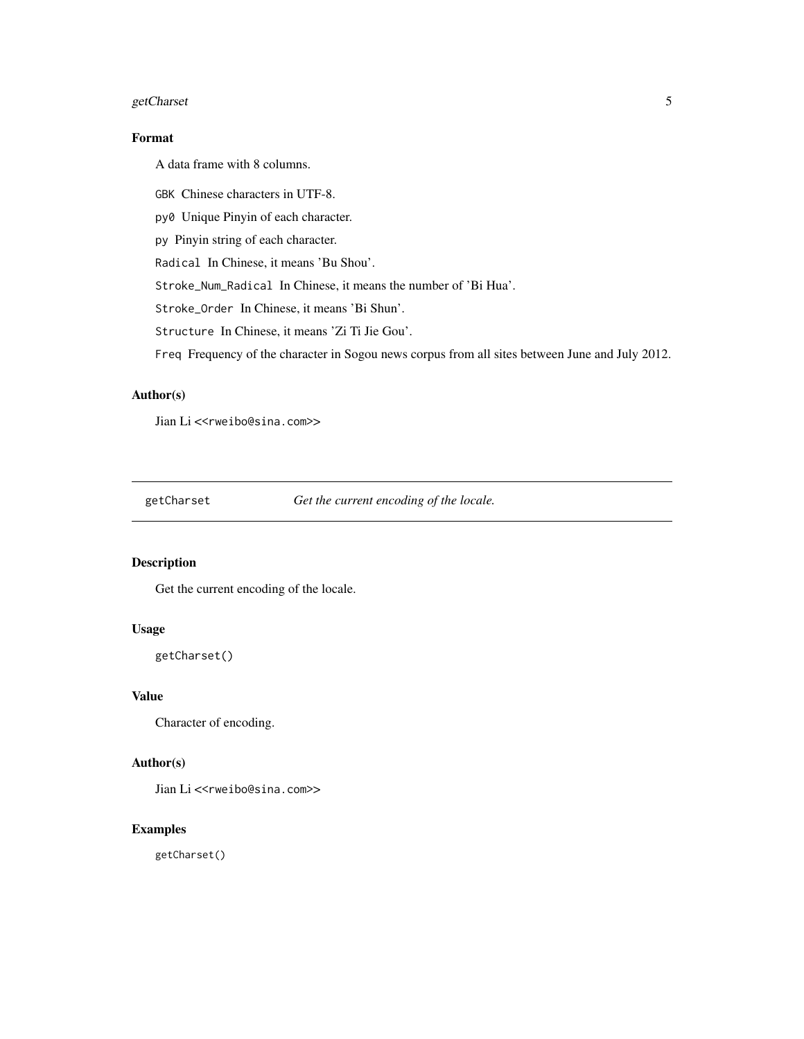### <span id="page-4-0"></span>getCharset 5

# Format

A data frame with 8 columns.

GBK Chinese characters in UTF-8.

py0 Unique Pinyin of each character.

py Pinyin string of each character.

Radical In Chinese, it means 'Bu Shou'.

Stroke\_Num\_Radical In Chinese, it means the number of 'Bi Hua'.

Stroke\_Order In Chinese, it means 'Bi Shun'.

Structure In Chinese, it means 'Zi Ti Jie Gou'.

Freq Frequency of the character in Sogou news corpus from all sites between June and July 2012.

#### Author(s)

Jian Li <<rweibo@sina.com>>

getCharset *Get the current encoding of the locale.*

# Description

Get the current encoding of the locale.

#### Usage

getCharset()

#### Value

Character of encoding.

#### Author(s)

Jian Li<<rweibo@sina.com>>

### Examples

getCharset()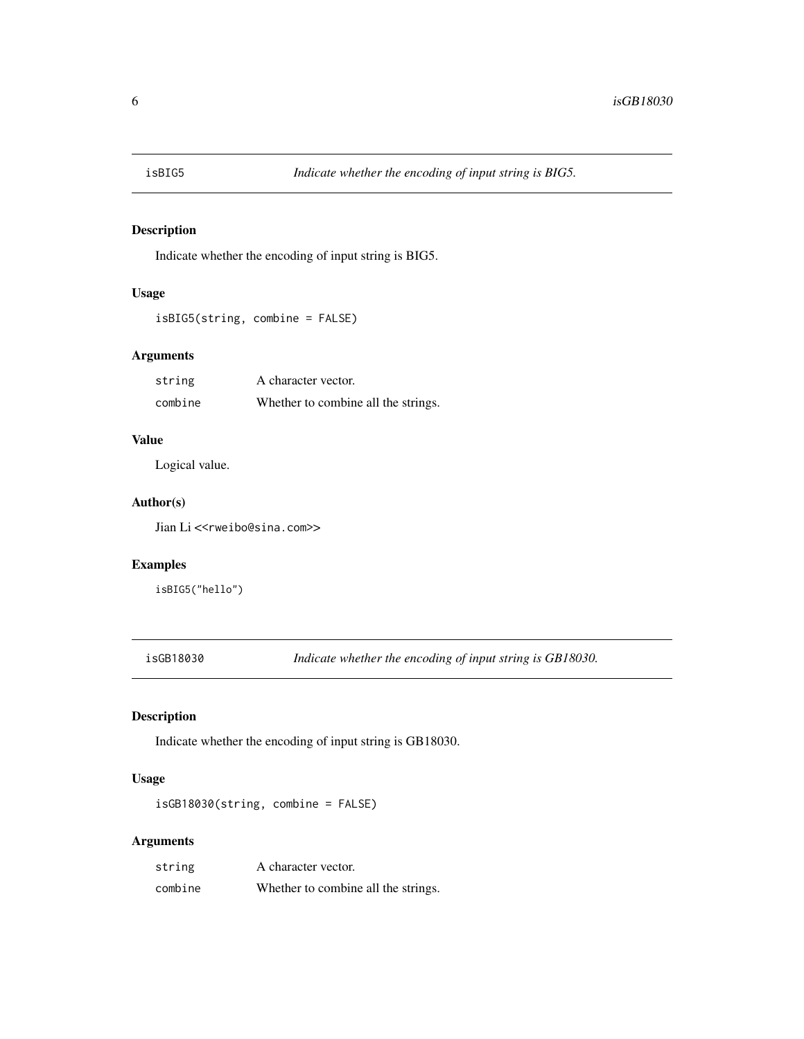<span id="page-5-0"></span>

Indicate whether the encoding of input string is BIG5.

#### Usage

```
isBIG5(string, combine = FALSE)
```
### Arguments

| string  | A character vector.                 |
|---------|-------------------------------------|
| combine | Whether to combine all the strings. |

#### Value

Logical value.

#### Author(s)

Jian Li<<rweibo@sina.com>>

#### Examples

isBIG5("hello")

isGB18030 *Indicate whether the encoding of input string is GB18030.*

# Description

Indicate whether the encoding of input string is GB18030.

# Usage

isGB18030(string, combine = FALSE)

| string  | A character vector.                 |
|---------|-------------------------------------|
| combine | Whether to combine all the strings. |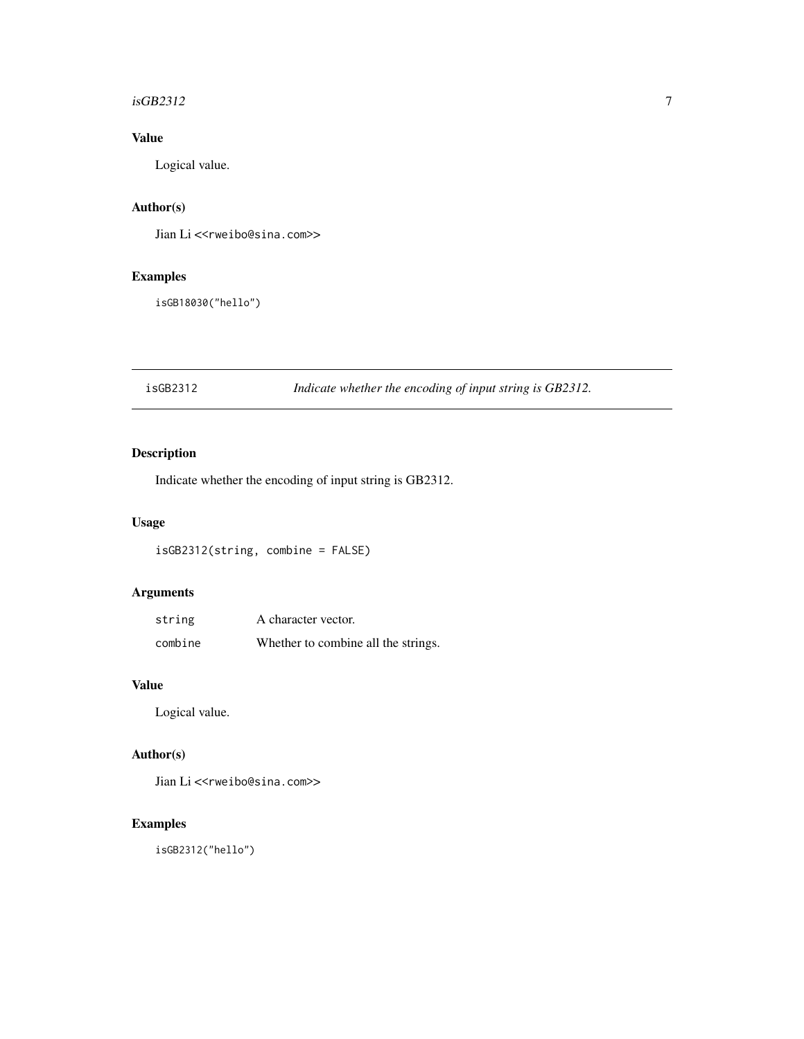#### <span id="page-6-0"></span> $isGB2312$   $\hspace{1.5cm}$  7

# Value

Logical value.

# Author(s)

Jian Li <<rweibo@sina.com>>

# Examples

isGB18030("hello")

isGB2312 *Indicate whether the encoding of input string is GB2312.*

# Description

Indicate whether the encoding of input string is GB2312.

### Usage

isGB2312(string, combine = FALSE)

# Arguments

| string  | A character vector.                 |
|---------|-------------------------------------|
| combine | Whether to combine all the strings. |

# Value

Logical value.

# Author(s)

Jian Li<<rweibo@sina.com>>

# Examples

isGB2312("hello")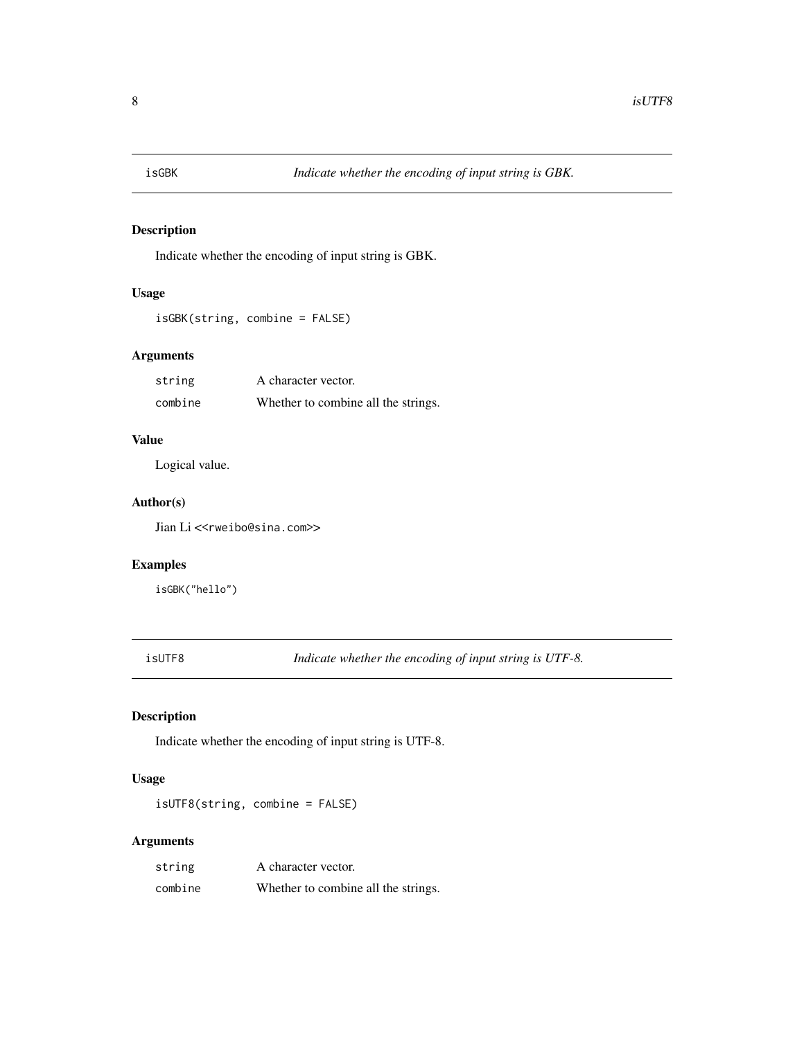<span id="page-7-0"></span>

Indicate whether the encoding of input string is GBK.

#### Usage

```
isGBK(string, combine = FALSE)
```
# Arguments

| string  | A character vector.                 |
|---------|-------------------------------------|
| combine | Whether to combine all the strings. |

#### Value

Logical value.

#### Author(s)

Jian Li<<rweibo@sina.com>>

#### Examples

isGBK("hello")

isUTF8 *Indicate whether the encoding of input string is UTF-8.*

# Description

Indicate whether the encoding of input string is UTF-8.

# Usage

isUTF8(string, combine = FALSE)

| string  | A character vector.                 |
|---------|-------------------------------------|
| combine | Whether to combine all the strings. |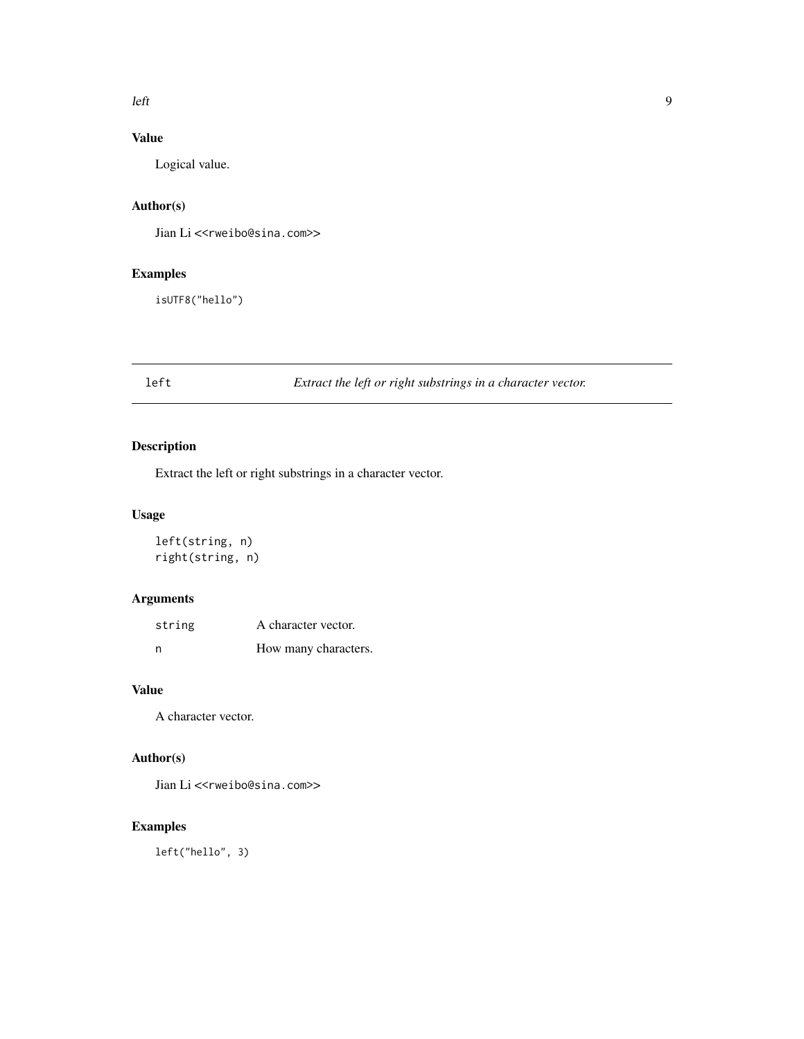#### <span id="page-8-0"></span> $\ell$  left  $\ell$

# Value

Logical value.

# Author(s)

Jian Li<<rweibo@sina.com>>

# Examples

isUTF8("hello")

# left *Extract the left or right substrings in a character vector.*

# Description

Extract the left or right substrings in a character vector.

# Usage

```
left(string, n)
right(string, n)
```
# Arguments

| string | A character vector.  |
|--------|----------------------|
| n      | How many characters. |

#### Value

A character vector.

# Author(s)

Jian Li<<rweibo@sina.com>>

# Examples

left("hello", 3)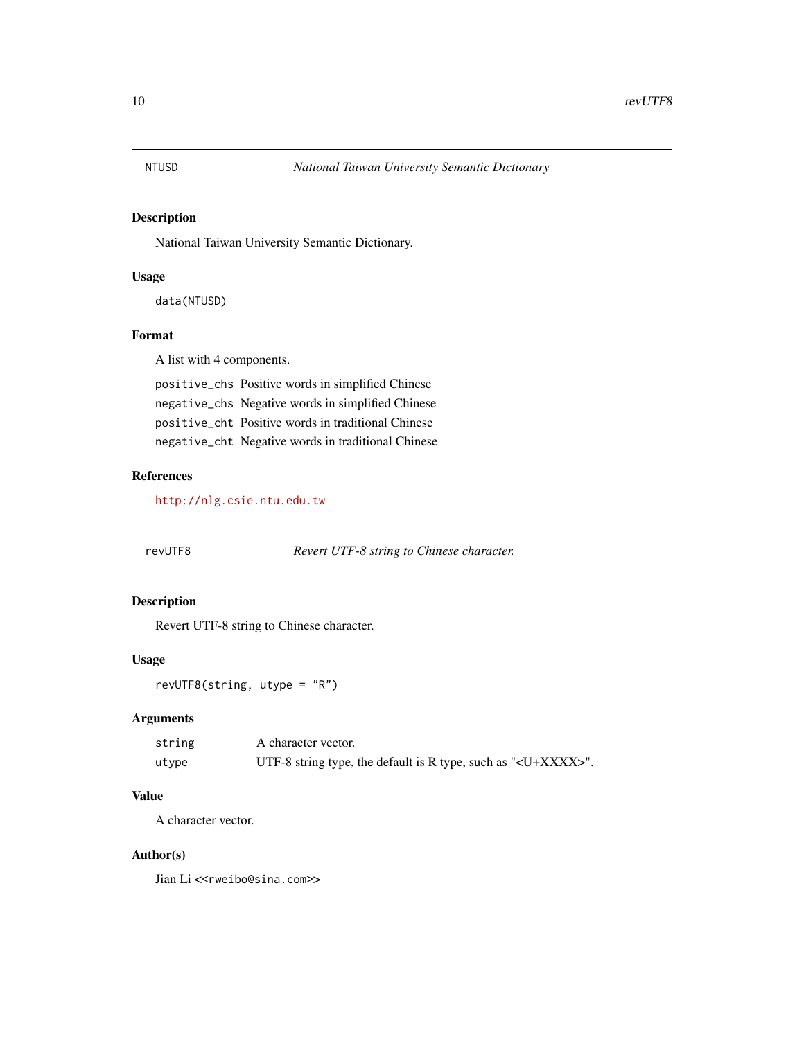<span id="page-9-0"></span>

National Taiwan University Semantic Dictionary.

#### Usage

data(NTUSD)

#### Format

A list with 4 components.

positive\_chs Positive words in simplified Chinese negative\_chs Negative words in simplified Chinese positive\_cht Positive words in traditional Chinese negative\_cht Negative words in traditional Chinese

# References

<http://nlg.csie.ntu.edu.tw>

revUTF8 *Revert UTF-8 string to Chinese character.*

#### Description

Revert UTF-8 string to Chinese character.

#### Usage

revUTF8(string, utype = "R")

#### Arguments

| string | A character vector.                                                     |
|--------|-------------------------------------------------------------------------|
| utvpe  | UTF-8 string type, the default is R type, such as " <u+xxxx>".</u+xxxx> |

#### Value

A character vector.

#### Author(s)

Jian Li<<rweibo@sina.com>>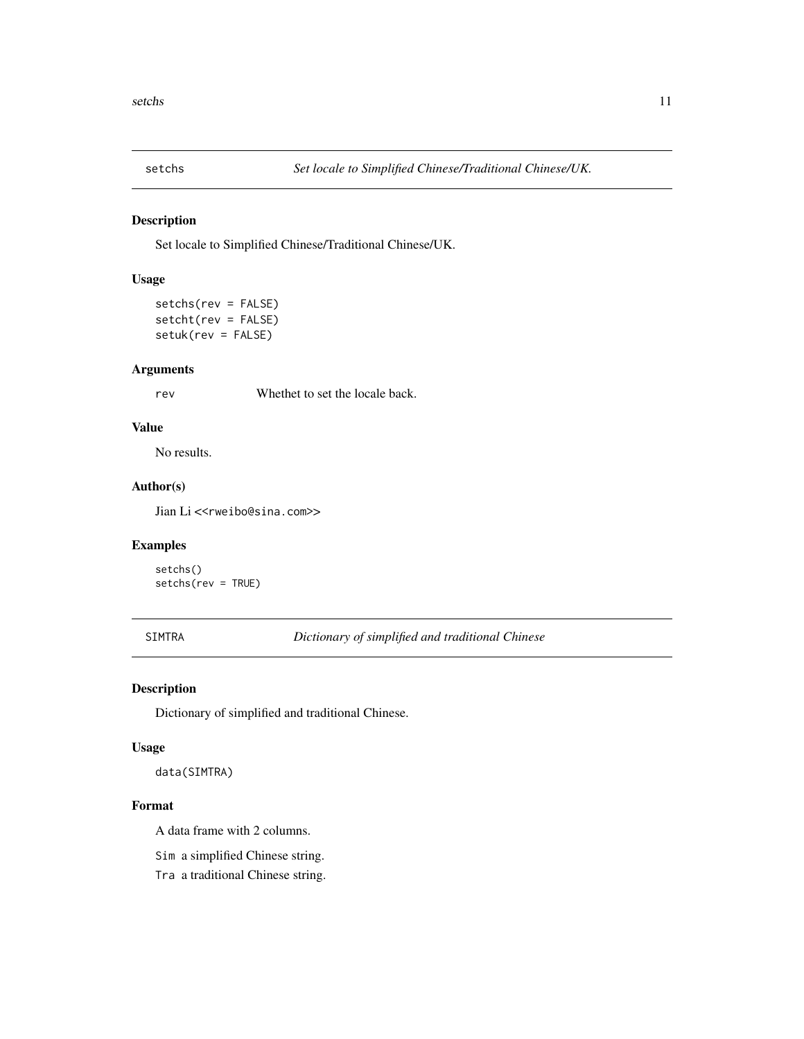<span id="page-10-0"></span>

Set locale to Simplified Chinese/Traditional Chinese/UK.

#### Usage

setchs(rev = FALSE) setcht(rev = FALSE) setuk(rev = FALSE)

#### Arguments

rev Whethet to set the locale back.

# Value

No results.

#### Author(s)

Jian Li<<rweibo@sina.com>>

#### Examples

setchs() setchs(rev = TRUE)

SIMTRA *Dictionary of simplified and traditional Chinese*

#### Description

Dictionary of simplified and traditional Chinese.

#### Usage

data(SIMTRA)

#### Format

A data frame with 2 columns.

Sim a simplified Chinese string.

Tra a traditional Chinese string.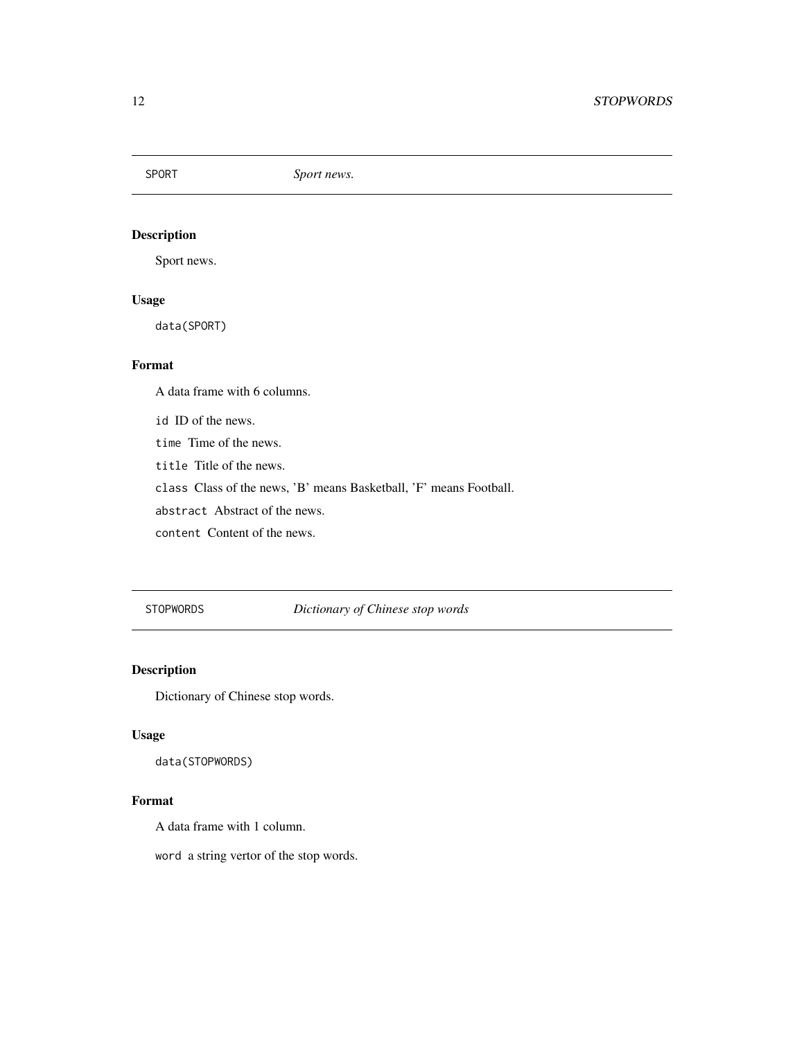<span id="page-11-0"></span>SPORT *Sport news.*

# Description

Sport news.

# Usage

data(SPORT)

#### Format

A data frame with 6 columns.

id ID of the news.

time Time of the news.

title Title of the news.

class Class of the news, 'B' means Basketball, 'F' means Football.

abstract Abstract of the news.

content Content of the news.

STOPWORDS *Dictionary of Chinese stop words*

### Description

Dictionary of Chinese stop words.

### Usage

data(STOPWORDS)

# Format

A data frame with 1 column.

word a string vertor of the stop words.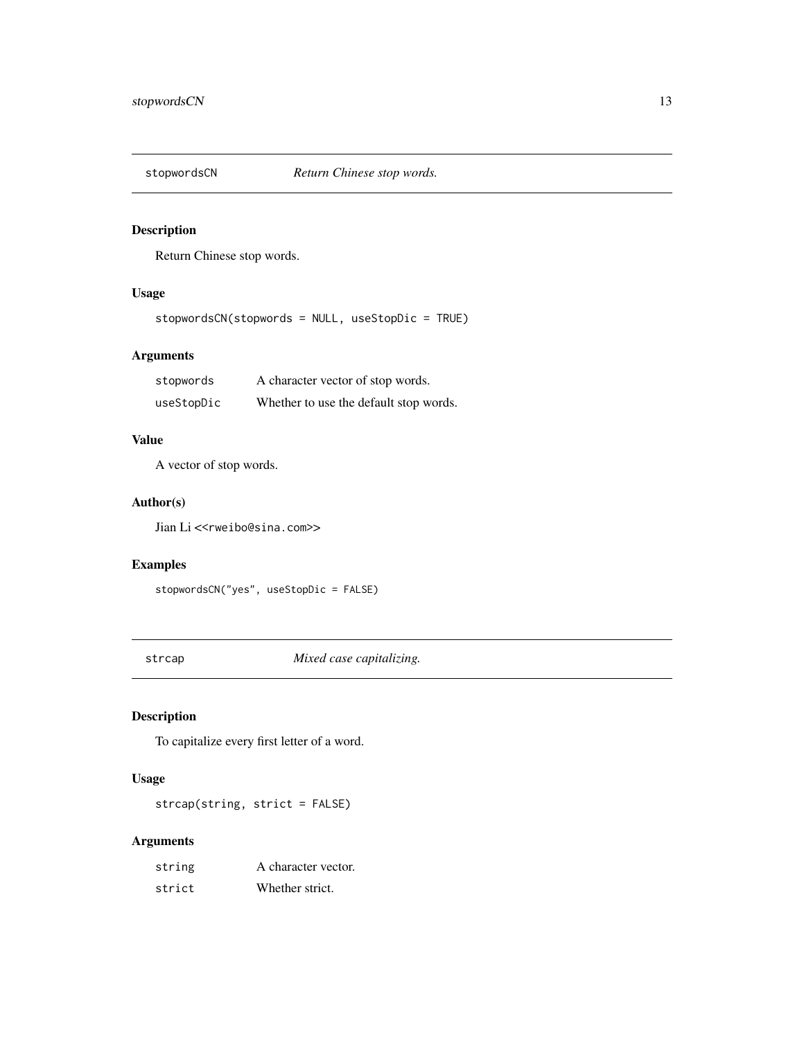<span id="page-12-0"></span>

Return Chinese stop words.

### Usage

stopwordsCN(stopwords = NULL, useStopDic = TRUE)

# Arguments

| stopwords  | A character vector of stop words.      |
|------------|----------------------------------------|
| useStopDic | Whether to use the default stop words. |

### Value

A vector of stop words.

#### Author(s)

Jian Li<<rweibo@sina.com>>

#### Examples

```
stopwordsCN("yes", useStopDic = FALSE)
```
strcap *Mixed case capitalizing.*

# Description

To capitalize every first letter of a word.

# Usage

strcap(string, strict = FALSE)

| string | A character vector. |
|--------|---------------------|
| strict | Whether strict.     |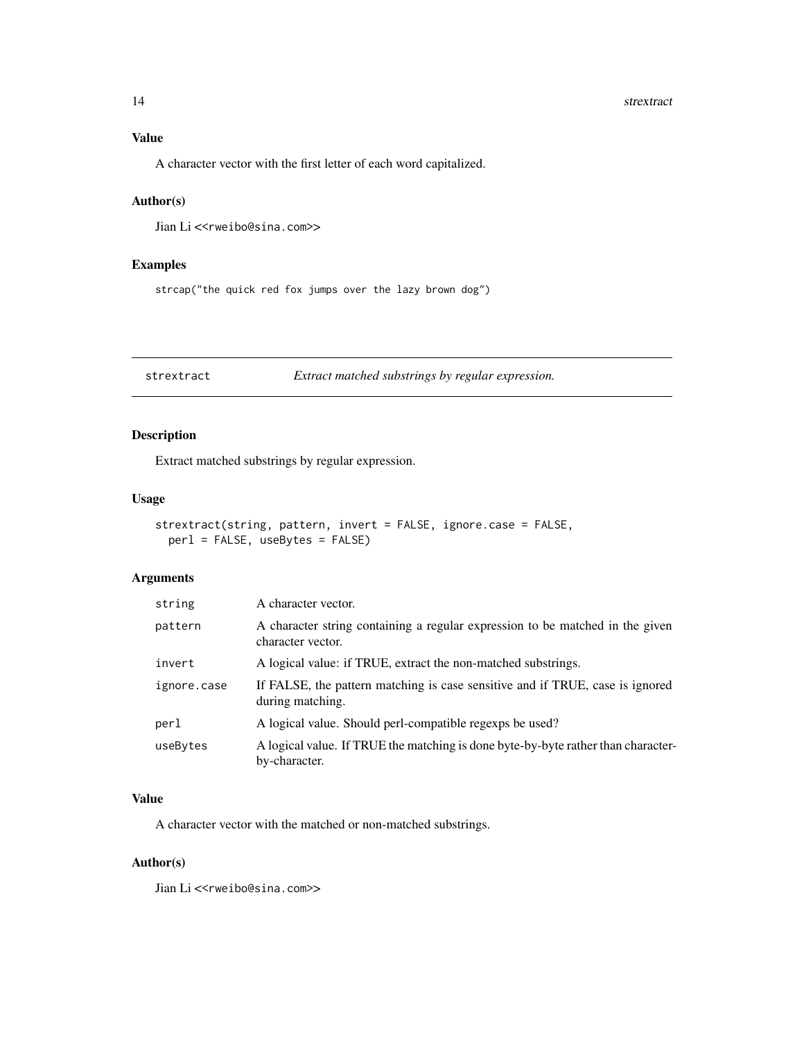#### <span id="page-13-0"></span>14 strextract

# Value

A character vector with the first letter of each word capitalized.

# Author(s)

Jian Li<<rweibo@sina.com>>

### Examples

strcap("the quick red fox jumps over the lazy brown dog")

strextract *Extract matched substrings by regular expression.*

# Description

Extract matched substrings by regular expression.

#### Usage

```
strextract(string, pattern, invert = FALSE, ignore.case = FALSE,
 perl = FALSE, useBytes = FALSE)
```
#### Arguments

| string      | A character vector.                                                                                |
|-------------|----------------------------------------------------------------------------------------------------|
| pattern     | A character string containing a regular expression to be matched in the given<br>character vector. |
| invert      | A logical value: if TRUE, extract the non-matched substrings.                                      |
| ignore.case | If FALSE, the pattern matching is case sensitive and if TRUE, case is ignored<br>during matching.  |
| perl        | A logical value. Should perl-compatible regexps be used?                                           |
| useBytes    | A logical value. If TRUE the matching is done byte-by-byte rather than character-<br>by-character. |

#### Value

A character vector with the matched or non-matched substrings.

# Author(s)

Jian Li<<rweibo@sina.com>>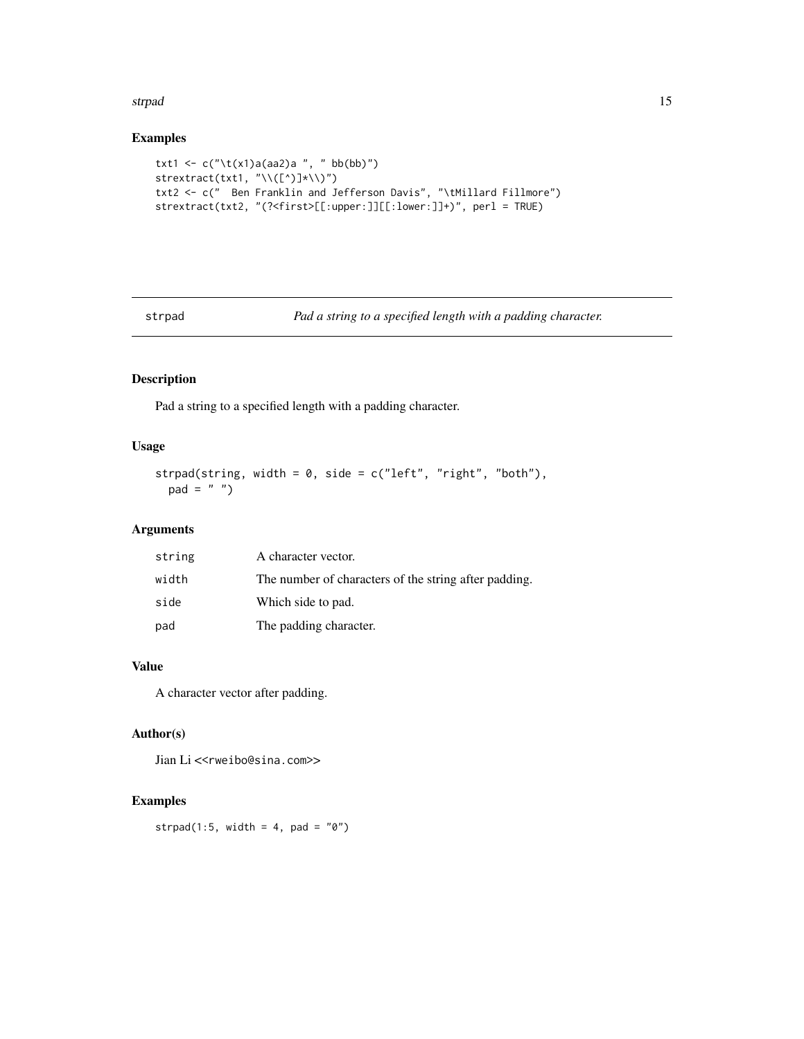#### <span id="page-14-0"></span>strpad to the contract of the contract of the contract of the contract of the contract of the contract of the contract of the contract of the contract of the contract of the contract of the contract of the contract of the

# Examples

```
txt1 <- c("\t(x1)a(aa2)a ", " bb(bb)")
strextract(txt1, "\\([^)]*\\)")
txt2 <- c(" Ben Franklin and Jefferson Davis", "\tMillard Fillmore")
strextract(txt2, "(?<first>[[:upper:]][[:lower:]]+)", perl = TRUE)
```
strpad *Pad a string to a specified length with a padding character.*

# Description

Pad a string to a specified length with a padding character.

# Usage

```
strpad(string, width = 0, side = c("left", "right", "both"),pad = " "")
```
### Arguments

| string | A character vector.                                   |
|--------|-------------------------------------------------------|
| width  | The number of characters of the string after padding. |
| side   | Which side to pad.                                    |
| pad    | The padding character.                                |

# Value

A character vector after padding.

#### Author(s)

Jian Li<<rweibo@sina.com>>

# Examples

strpad(1:5, width = 4, pad =  $"0"$ )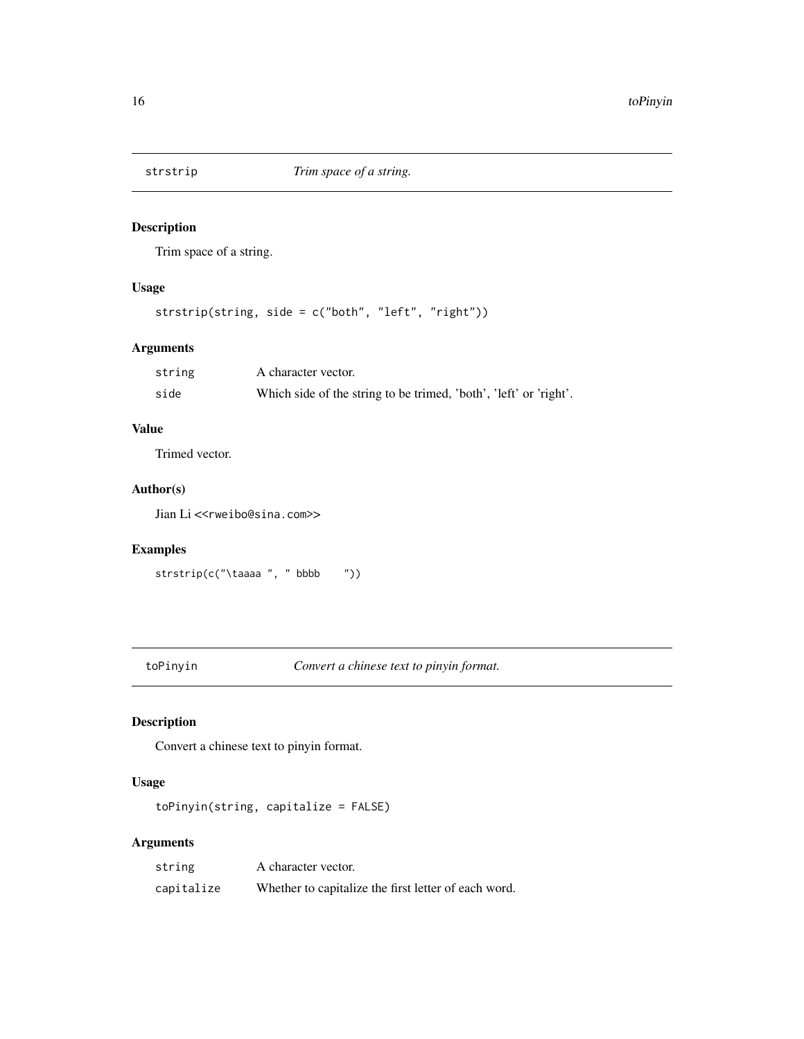<span id="page-15-0"></span>

Trim space of a string.

# Usage

```
strstrip(string, side = c("both", "left", "right"))
```
# Arguments

| string | A character vector.                                               |
|--------|-------------------------------------------------------------------|
| side   | Which side of the string to be trimed, 'both', 'left' or 'right'. |

# Value

Trimed vector.

#### Author(s)

Jian Li<<rweibo@sina.com>>

# Examples

strstrip(c("\taaaa ", " bbbb "))

toPinyin *Convert a chinese text to pinyin format.*

# Description

Convert a chinese text to pinyin format.

#### Usage

toPinyin(string, capitalize = FALSE)

| string     | A character vector.                                  |
|------------|------------------------------------------------------|
| capitalize | Whether to capitalize the first letter of each word. |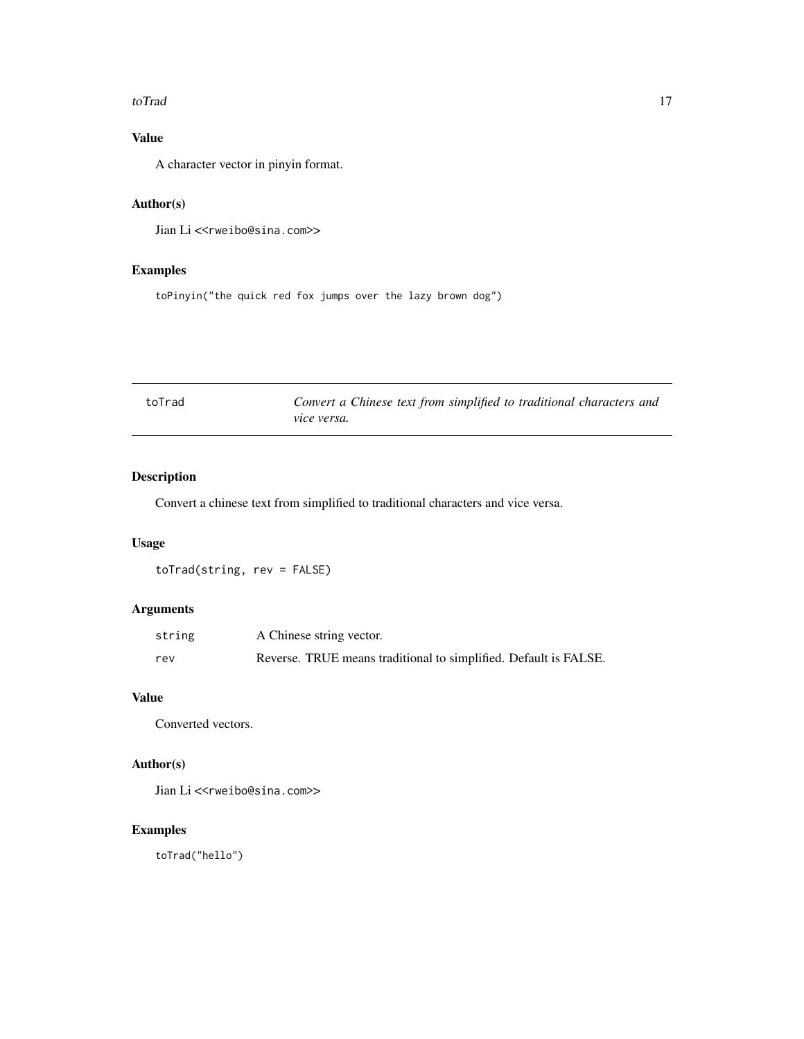#### <span id="page-16-0"></span>toTrad to the contract of the contract of the contract of the contract of the contract of the contract of the contract of the contract of the contract of the contract of the contract of the contract of the contract of the

# Value

A character vector in pinyin format.

### Author(s)

Jian Li<<rweibo@sina.com>>

### Examples

toPinyin("the quick red fox jumps over the lazy brown dog")

| toTrad |             |  |  | Convert a Chinese text from simplified to traditional characters and |  |
|--------|-------------|--|--|----------------------------------------------------------------------|--|
|        | vice versa. |  |  |                                                                      |  |

# Description

Convert a chinese text from simplified to traditional characters and vice versa.

# Usage

toTrad(string, rev = FALSE)

# Arguments

| string | A Chinese string vector.                                         |
|--------|------------------------------------------------------------------|
| rev    | Reverse. TRUE means traditional to simplified. Default is FALSE. |

# Value

Converted vectors.

# Author(s)

Jian Li<<rweibo@sina.com>>

# Examples

toTrad("hello")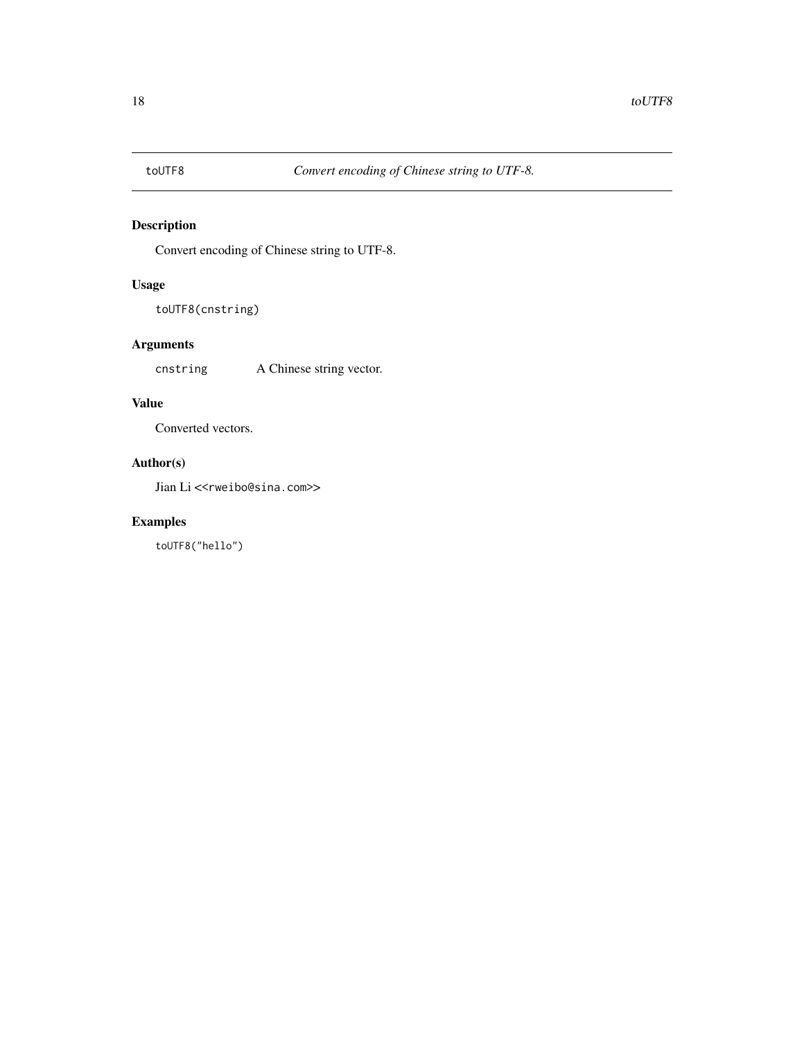<span id="page-17-0"></span>

Convert encoding of Chinese string to UTF-8.

### Usage

```
toUTF8(cnstring)
```
# Arguments

cnstring A Chinese string vector.

# Value

Converted vectors.

# Author(s)

Jian Li<<rweibo@sina.com>>

# Examples

toUTF8("hello")